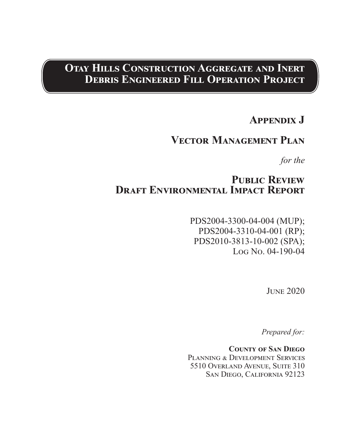# **Otay Hills Construction Aggregate and Inert Debris Engineered Fill Operation Project**

# **Appendix J**

# **Vector Management Plan**

*for the*

# PUBLIC REVIEW **Draft Environmental Impact Report**

PDS2004-3300-04-004 (MUP); PDS2004-3310-04-001 (RP); PDS2010-3813-10-002 (SPA); Log No. 04-190-04

June 2020

*Prepared for:*

**County of San Diego** PLANNING & DEVELOPMENT SERVICES 5510 Overland Avenue, Suite 310 San Diego, California 92123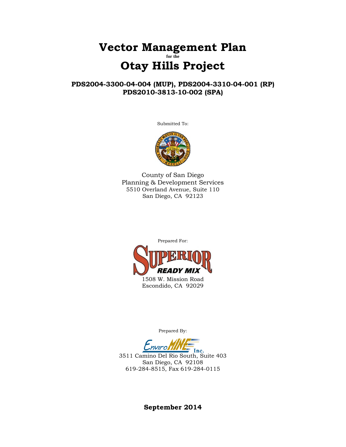## **Vector Management Plan for the Otay Hills Project**

## **PDS2004-3300-04-004 (MUP), PDS2004-3310-04-001 (RP) PDS2010-3813-10-002 (SPA)**

Submitted To:



County of San Diego Planning & Development Services 5510 Overland Avenue, Suite 110 San Diego, CA 92123



Prepared By:

Inc.

3511 Camino Del Rio South, Suite 403 San Diego, CA 92108 619-284-8515, Fax 619-284-0115

**September 2014**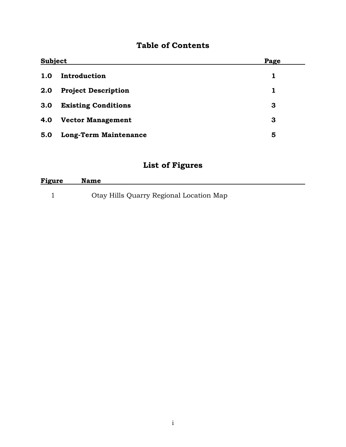# **Table of Contents**

| <b>Subject</b> |                              | Page |
|----------------|------------------------------|------|
| 1.0            | Introduction                 | 1    |
| 2.0            | <b>Project Description</b>   | 1    |
| 3.0            | <b>Existing Conditions</b>   | 3    |
| 4.0            | <b>Vector Management</b>     | 3    |
| 5.0            | <b>Long-Term Maintenance</b> | 5    |

# **List of Figures**

| Figure | <b>Name</b>                             |
|--------|-----------------------------------------|
|        | Otay Hills Quarry Regional Location Map |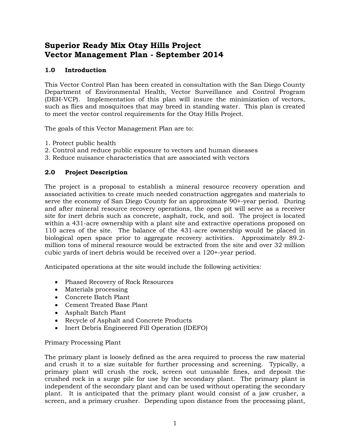## **Superior Ready Mix Otay Hills Project Vector Management Plan - September 2014**

## **1.0 Introduction**

This Vector Control Plan has been created in consultation with the San Diego County Department of Environmental Health, Vector Surveillance and Control Program (DEH-VCP). Implementation of this plan will insure the minimization of vectors, such as flies and mosquitoes that may breed in standing water. This plan is created to meet the vector control requirements for the Otay Hills Project.

The goals of this Vector Management Plan are to:

- 1. Protect public health
- 2. Control and reduce public exposure to vectors and human diseases
- 3. Reduce nuisance characteristics that are associated with vectors

## **2.0 Project Description**

The project is a proposal to establish a mineral resource recovery operation and associated activities to create much needed construction aggregates and materials to serve the economy of San Diego County for an approximate 90+-year period. During and after mineral resource recovery operations, the open pit will serve as a receiver site for inert debris such as concrete, asphalt, rock, and soil. The project is located within a 431-acre ownership with a plant site and extractive operations proposed on 110 acres of the site. The balance of the 431-acre ownership would be placed in biological open space prior to aggregate recovery activities. Approximately 89.2 million tons of mineral resource would be extracted from the site and over 32 million cubic yards of inert debris would be received over a 120+-year period.

Anticipated operations at the site would include the following activities:

- Phased Recovery of Rock Resources
- Materials processing
- Concrete Batch Plant
- Cement Treated Base Plant
- Asphalt Batch Plant
- Recycle of Asphalt and Concrete Products
- Inert Debris Engineered Fill Operation (IDEFO)

Primary Processing Plant

The primary plant is loosely defined as the area required to process the raw material and crush it to a size suitable for further processing and screening. Typically, a primary plant will crush the rock, screen out unusable fines, and deposit the crushed rock in a surge pile for use by the secondary plant. The primary plant is independent of the secondary plant and can be used without operating the secondary plant. It is anticipated that the primary plant would consist of a jaw crusher, a screen, and a primary crusher. Depending upon distance from the processing plant,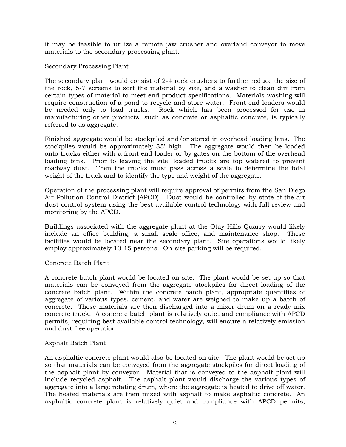it may be feasible to utilize a remote jaw crusher and overland conveyor to move materials to the secondary processing plant.

Secondary Processing Plant

The secondary plant would consist of 2-4 rock crushers to further reduce the size of the rock, 5-7 screens to sort the material by size, and a washer to clean dirt from certain types of material to meet end product specifications. Materials washing will require construction of a pond to recycle and store water. Front end loaders would be needed only to load trucks. Rock which has been processed for use in manufacturing other products, such as concrete or asphaltic concrete, is typically referred to as aggregate.

Finished aggregate would be stockpiled and/or stored in overhead loading bins. The stockpiles would be approximately 35' high. The aggregate would then be loaded onto trucks either with a front end loader or by gates on the bottom of the overhead loading bins. Prior to leaving the site, loaded trucks are top watered to prevent roadway dust. Then the trucks must pass across a scale to determine the total weight of the truck and to identify the type and weight of the aggregate.

Operation of the processing plant will require approval of permits from the San Diego Air Pollution Control District (APCD). Dust would be controlled by state-of-the-art dust control system using the best available control technology with full review and monitoring by the APCD.

Buildings associated with the aggregate plant at the Otay Hills Quarry would likely include an office building, a small scale office, and maintenance shop. These facilities would be located near the secondary plant. Site operations would likely employ approximately 10-15 persons. On-site parking will be required.

Concrete Batch Plant

A concrete batch plant would be located on site. The plant would be set up so that materials can be conveyed from the aggregate stockpiles for direct loading of the concrete batch plant. Within the concrete batch plant, appropriate quantities of aggregate of various types, cement, and water are weighed to make up a batch of concrete. These materials are then discharged into a mixer drum on a ready mix concrete truck. A concrete batch plant is relatively quiet and compliance with APCD permits, requiring best available control technology, will ensure a relatively emission and dust free operation.

### Asphalt Batch Plant

An asphaltic concrete plant would also be located on site. The plant would be set up so that materials can be conveyed from the aggregate stockpiles for direct loading of the asphalt plant by conveyor. Material that is conveyed to the asphalt plant will include recycled asphalt. The asphalt plant would discharge the various types of aggregate into a large rotating drum, where the aggregate is heated to drive off water. The heated materials are then mixed with asphalt to make asphaltic concrete. An asphaltic concrete plant is relatively quiet and compliance with APCD permits,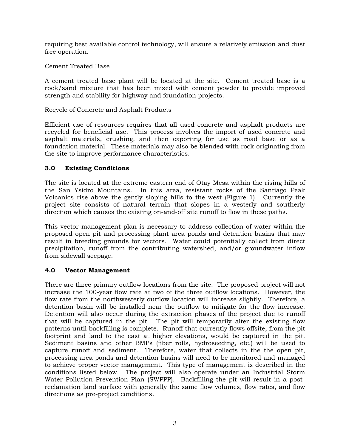requiring best available control technology, will ensure a relatively emission and dust free operation.

Cement Treated Base

A cement treated base plant will be located at the site. Cement treated base is a rock/sand mixture that has been mixed with cement powder to provide improved strength and stability for highway and foundation projects.

Recycle of Concrete and Asphalt Products

Efficient use of resources requires that all used concrete and asphalt products are recycled for beneficial use. This process involves the import of used concrete and asphalt materials, crushing, and then exporting for use as road base or as a foundation material. These materials may also be blended with rock originating from the site to improve performance characteristics.

## **3.0 Existing Conditions**

The site is located at the extreme eastern end of Otay Mesa within the rising hills of the San Ysidro Mountains. In this area, resistant rocks of the Santiago Peak Volcanics rise above the gently sloping hills to the west (Figure 1). Currently the project site consists of natural terrain that slopes in a westerly and southerly direction which causes the existing on-and-off site runoff to flow in these paths.

This vector management plan is necessary to address collection of water within the proposed open pit and processing plant area ponds and detention basins that may result in breeding grounds for vectors. Water could potentially collect from direct precipitation, runoff from the contributing watershed, and/or groundwater inflow from sidewall seepage.

## **4.0 Vector Management**

There are three primary outflow locations from the site. The proposed project will not increase the 100-year flow rate at two of the three outflow locations. However, the flow rate from the northwesterly outflow location will increase slightly. Therefore, a detention basin will be installed near the outflow to mitigate for the flow increase. Detention will also occur during the extraction phases of the project due to runoff that will be captured in the pit. The pit will temporarily alter the existing flow patterns until backfilling is complete. Runoff that currently flows offsite, from the pit footprint and land to the east at higher elevations, would be captured in the pit. Sediment basins and other BMPs (fiber rolls, hydroseeding, etc.) will be used to capture runoff and sediment. Therefore, water that collects in the the open pit, processing area ponds and detention basins will need to be monitored and managed to achieve proper vector management. This type of management is described in the conditions listed below. The project will also operate under an Industrial Storm Water Pollution Prevention Plan (SWPPP). Backfilling the pit will result in a postreclamation land surface with generally the same flow volumes, flow rates, and flow directions as pre-project conditions.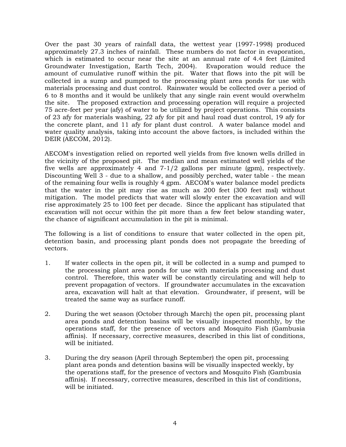Over the past 30 years of rainfall data, the wettest year (1997-1998) produced approximately 27.3 inches of rainfall. These numbers do not factor in evaporation, which is estimated to occur near the site at an annual rate of 4.4 feet (Limited Groundwater Investigation, Earth Tech, 2004). Evaporation would reduce the amount of cumulative runoff within the pit. Water that flows into the pit will be collected in a sump and pumped to the processing plant area ponds for use with materials processing and dust control. Rainwater would be collected over a period of 6 to 8 months and it would be unlikely that any single rain event would overwhelm the site. The proposed extraction and processing operation will require a projected 75 acre-feet per year (afy) of water to be utilized by project operations. This consists of 23 afy for materials washing, 22 afy for pit and haul road dust control, 19 afy for the concrete plant, and 11 afy for plant dust control. A water balance model and water quality analysis, taking into account the above factors, is included within the DEIR (AECOM, 2012).

AECOM's investigation relied on reported well yields from five known wells drilled in the vicinity of the proposed pit. The median and mean estimated well yields of the five wells are approximately 4 and  $7-1/2$  gallons per minute (gpm), respectively. Discounting Well 3 - due to a shallow, and possibly perched, water table - the mean of the remaining four wells is roughly 4 gpm. AECOM's water balance model predicts that the water in the pit may rise as much as 200 feet (300 feet msl) without mitigation. The model predicts that water will slowly enter the excavation and will rise approximately 25 to 100 feet per decade. Since the applicant has stipulated that excavation will not occur within the pit more than a few feet below standing water, the chance of significant accumulation in the pit is minimal.

The following is a list of conditions to ensure that water collected in the open pit, detention basin, and processing plant ponds does not propagate the breeding of vectors.

- 1. If water collects in the open pit, it will be collected in a sump and pumped to the processing plant area ponds for use with materials processing and dust control. Therefore, this water will be constantly circulating and will help to prevent propagation of vectors. If groundwater accumulates in the excavation area, excavation will halt at that elevation. Groundwater, if present, will be treated the same way as surface runoff.
- 2. During the wet season (October through March) the open pit, processing plant area ponds and detention basins will be visually inspected monthly, by the operations staff, for the presence of vectors and Mosquito Fish (Gambusia affinis). If necessary, corrective measures, described in this list of conditions, will be initiated.
- 3. During the dry season (April through September) the open pit, processing plant area ponds and detention basins will be visually inspected weekly, by the operations staff, for the presence of vectors and Mosquito Fish (Gambusia affinis). If necessary, corrective measures, described in this list of conditions, will be initiated.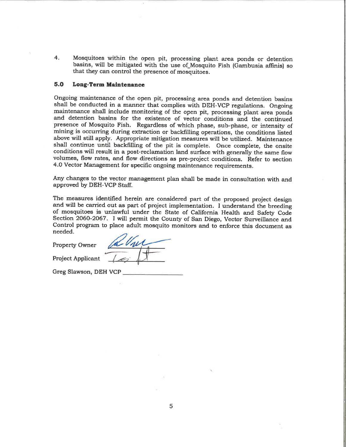$\overline{4}$ . Mosquitoes within the open pit, processing plant area ponds or detention basins, will be mitigated with the use of Mosquito Fish (Gambusia affinis) so that they can control the presence of mosquitoes.

#### $5.0$ **Long-Term Maintenance**

Ongoing maintenance of the open pit, processing area ponds and detention basins shall be conducted in a manner that complies with DEH-VCP regulations. Ongoing maintenance shall include monitoring of the open pit, processing plant area ponds and detention basins for the existence of vector conditions and the continued presence of Mosquito Fish. Regardless of which phase, sub-phase, or intensity of mining is occurring during extraction or backfilling operations, the conditions listed above will still apply. Appropriate mitigation measures will be utilized. Maintenance shall continue until backfilling of the pit is complete. Once complete, the onsite conditions will result in a post-reclamation land surface with generally the same flow volumes, flow rates, and flow directions as pre-project conditions. Refer to section 4.0 Vector Management for specific ongoing maintenance requirements.

Any changes to the vector management plan shall be made in consultation with and approved by DEH-VCP Staff.

The measures identified herein are considered part of the proposed project design and will be carried out as part of project implementation. I understand the breeding of mosquitoes is unlawful under the State of California Health and Safety Code Section 2060-2067. I will permit the County of San Diego, Vector Surveillance and Control program to place adult mosquito monitors and to enforce this document as needed.

Property Owner

**Project Applicant** 

Greg Slawson, DEH VCP